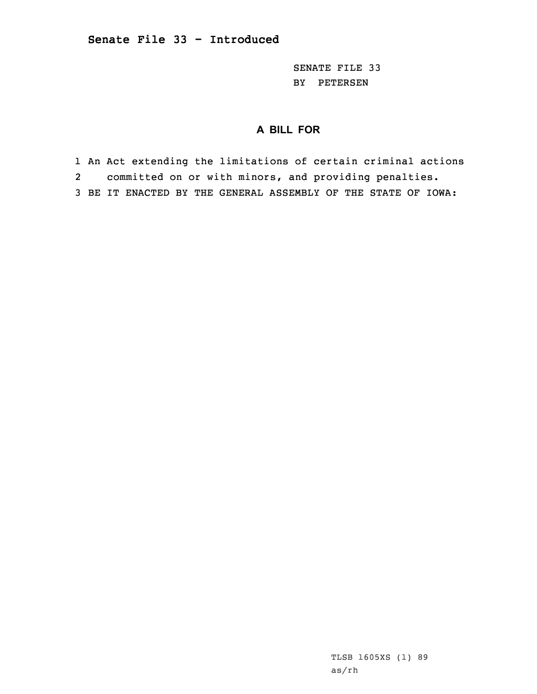SENATE FILE 33 BY PETERSEN

## **A BILL FOR**

1 An Act extending the limitations of certain criminal actions 2 committed on or with minors, and providing penalties. 3 BE IT ENACTED BY THE GENERAL ASSEMBLY OF THE STATE OF IOWA:

> TLSB 1605XS (1) 89 as/rh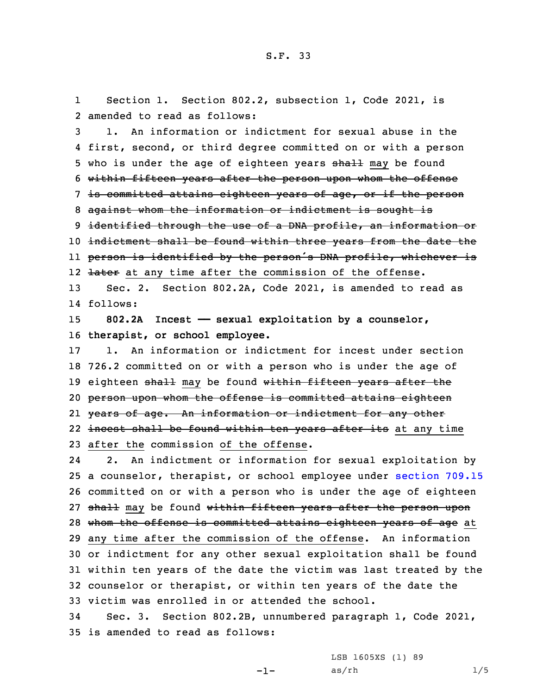1 Section 1. Section 802.2, subsection 1, Code 2021, is 2 amended to read as follows:

 1. An information or indictment for sexual abuse in the first, second, or third degree committed on or with <sup>a</sup> person 5 who is under the age of eighteen years shall may be found within fifteen years after the person upon whom the offense is committed attains eighteen years of age, or if the person against whom the information or indictment is sought is 9 identified through the use of a DNA profile, an information or indictment shall be found within three years from the date the person is identified by the person's DNA profile, whichever is 12 <del>later</del> at any time after the commission of the offense.

13 Sec. 2. Section 802.2A, Code 2021, is amended to read as 14 follows:

15 **802.2A Incest —— sexual exploitation by <sup>a</sup> counselor,** 16 **therapist, or school employee.**

 1. An information or indictment for incest under section 726.2 committed on or with <sup>a</sup> person who is under the age of 19 eighteen shall may be found within fifteen years after the person upon whom the offense is committed attains eighteen years of age. An information or indictment for any other 22 <del>incest shall be found within ten years after its</del> at any time after the commission of the offense.

24 2. An indictment or information for sexual exploitation by <sup>a</sup> counselor, therapist, or school employee under [section](https://www.legis.iowa.gov/docs/code/2021/709.15.pdf) 709.15 committed on or with <sup>a</sup> person who is under the age of eighteen 27 shall may be found within fifteen years after the person upon 28 whom the offense is committed attains eighteen years of age at any time after the commission of the offense. An information or indictment for any other sexual exploitation shall be found within ten years of the date the victim was last treated by the counselor or therapist, or within ten years of the date the victim was enrolled in or attended the school.

34 Sec. 3. Section 802.2B, unnumbered paragraph 1, Code 2021, 35 is amended to read as follows:

LSB 1605XS (1) 89

 $-1-$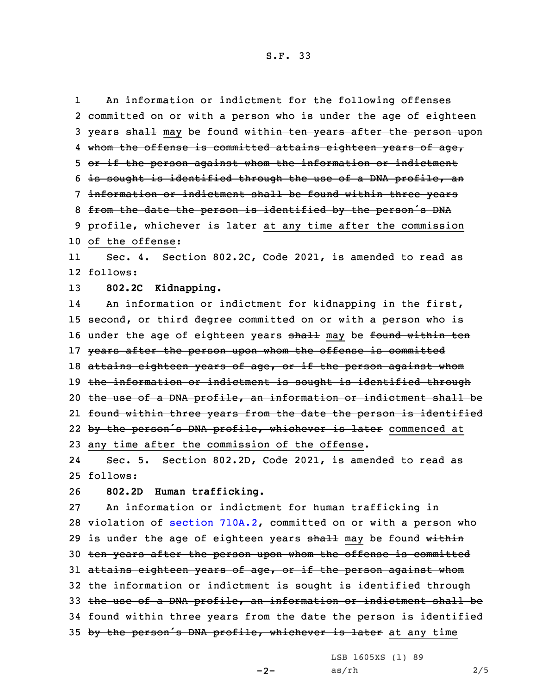An information or indictment for the following offenses

1

2 committed on or with <sup>a</sup> person who is under the age of eighteen 3 years shall may be found within ten years after the person upon 4 whom the offense is committed attains eighteen years of age, 5 or if the person against whom the information or indictment 6 is sought is identified through the use of <sup>a</sup> DNA profile, an 7 information or indictment shall be found within three years 8 from the date the person is identified by the person's DNA 9 profile, whichever is later at any time after the commission 10 of the offense: 11 Sec. 4. Section 802.2C, Code 2021, is amended to read as 12 follows: 13 **802.2C Kidnapping.** 14 An information or indictment for kidnapping in the first, 15 second, or third degree committed on or with <sup>a</sup> person who is 16 under the age of eighteen years shall may be found within ten 17 years after the person upon whom the offense is committed 18 attains eighteen years of age, or if the person against whom 19 the information or indictment is sought is identified through 20 the use of <sup>a</sup> DNA profile, an information or indictment shall be 21 found within three years from the date the person is identified 22 by the person's DNA profile, whichever is later commenced at 23 any time after the commission of the offense. 24 Sec. 5. Section 802.2D, Code 2021, is amended to read as 25 follows: 26 **802.2D Human trafficking.** 27 An information or indictment for human trafficking in 28 violation of section [710A.2](https://www.legis.iowa.gov/docs/code/2021/710A.2.pdf), committed on or with <sup>a</sup> person who 29 is under the age of eighteen years  $shall$  may be found within 30 ten years after the person upon whom the offense is committed 31 attains eighteen years of age, or if the person against whom 32 the information or indictment is sought is identified through 33 the use of <sup>a</sup> DNA profile, an information or indictment shall be 34 found within three years from the date the person is identified 35 by the person's DNA profile, whichever is later at any time

LSB 1605XS (1) 89

 $-2-$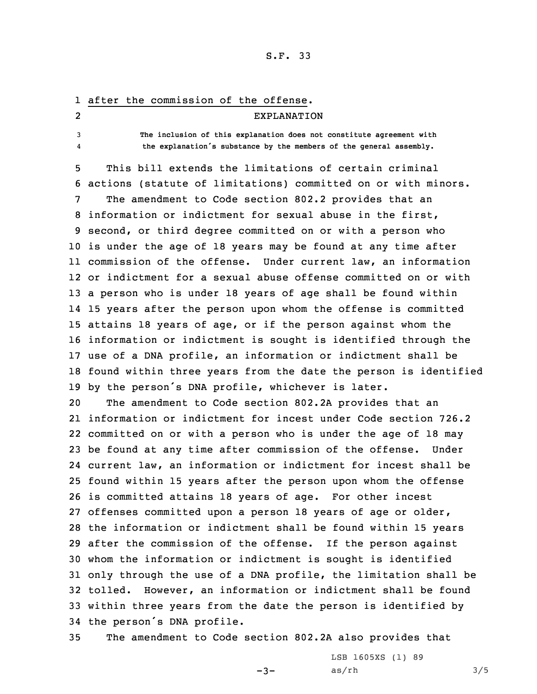## 1 after the commission of the offense. 2 EXPLANATION 3 **The inclusion of this explanation does not constitute agreement with** 4 **the explanation's substance by the members of the general assembly.** 5 This bill extends the limitations of certain criminal

 actions (statute of limitations) committed on or with minors. The amendment to Code section 802.2 provides that an information or indictment for sexual abuse in the first, second, or third degree committed on or with <sup>a</sup> person who is under the age of 18 years may be found at any time after commission of the offense. Under current law, an information or indictment for <sup>a</sup> sexual abuse offense committed on or with <sup>a</sup> person who is under 18 years of age shall be found within 15 years after the person upon whom the offense is committed attains 18 years of age, or if the person against whom the information or indictment is sought is identified through the use of <sup>a</sup> DNA profile, an information or indictment shall be found within three years from the date the person is identified by the person's DNA profile, whichever is later.

 The amendment to Code section 802.2A provides that an information or indictment for incest under Code section 726.2 committed on or with <sup>a</sup> person who is under the age of 18 may be found at any time after commission of the offense. Under current law, an information or indictment for incest shall be found within 15 years after the person upon whom the offense is committed attains 18 years of age. For other incest offenses committed upon <sup>a</sup> person 18 years of age or older, the information or indictment shall be found within 15 years after the commission of the offense. If the person against whom the information or indictment is sought is identified only through the use of <sup>a</sup> DNA profile, the limitation shall be tolled. However, an information or indictment shall be found within three years from the date the person is identified by the person's DNA profile.

35 The amendment to Code section 802.2A also provides that

 $-3-$ 

LSB 1605XS (1) 89  $as/rh$   $3/5$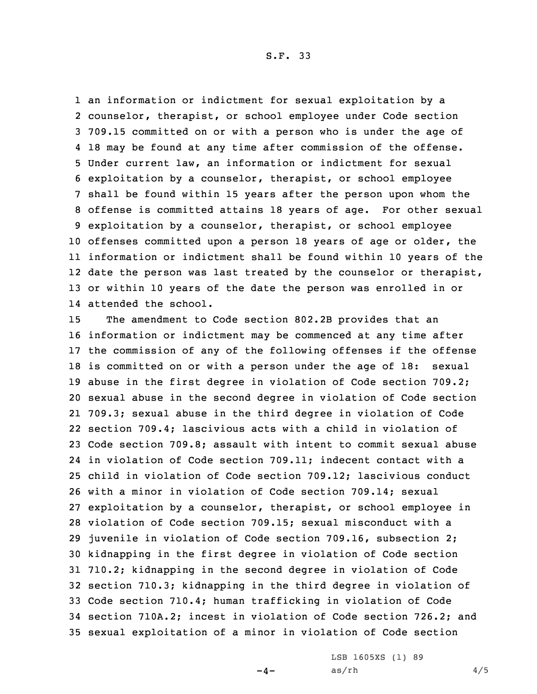an information or indictment for sexual exploitation by <sup>a</sup> counselor, therapist, or school employee under Code section 709.15 committed on or with <sup>a</sup> person who is under the age of 18 may be found at any time after commission of the offense. Under current law, an information or indictment for sexual exploitation by <sup>a</sup> counselor, therapist, or school employee shall be found within 15 years after the person upon whom the offense is committed attains 18 years of age. For other sexual exploitation by <sup>a</sup> counselor, therapist, or school employee offenses committed upon <sup>a</sup> person 18 years of age or older, the information or indictment shall be found within 10 years of the 12 date the person was last treated by the counselor or therapist, or within 10 years of the date the person was enrolled in or attended the school.

 The amendment to Code section 802.2B provides that an information or indictment may be commenced at any time after the commission of any of the following offenses if the offense is committed on or with <sup>a</sup> person under the age of 18: sexual abuse in the first degree in violation of Code section 709.2; sexual abuse in the second degree in violation of Code section 709.3; sexual abuse in the third degree in violation of Code section 709.4; lascivious acts with <sup>a</sup> child in violation of Code section 709.8; assault with intent to commit sexual abuse in violation of Code section 709.11; indecent contact with <sup>a</sup> child in violation of Code section 709.12; lascivious conduct with <sup>a</sup> minor in violation of Code section 709.14; sexual exploitation by <sup>a</sup> counselor, therapist, or school employee in violation of Code section 709.15; sexual misconduct with <sup>a</sup> juvenile in violation of Code section 709.16, subsection 2; kidnapping in the first degree in violation of Code section 710.2; kidnapping in the second degree in violation of Code section 710.3; kidnapping in the third degree in violation of Code section 710.4; human trafficking in violation of Code section 710A.2; incest in violation of Code section 726.2; and sexual exploitation of <sup>a</sup> minor in violation of Code section

 $-4-$ 

LSB 1605XS (1) 89  $as/rh$  4/5